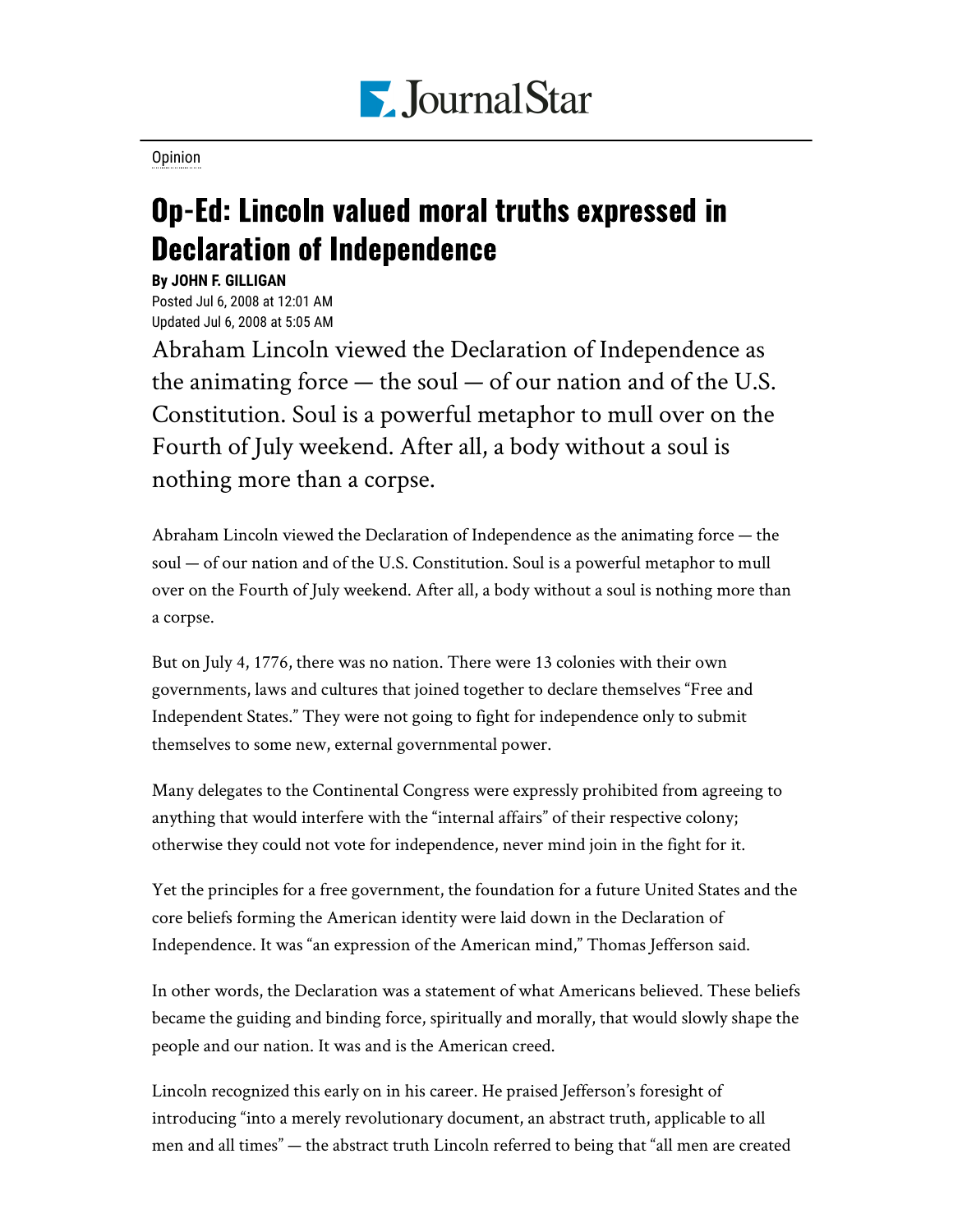

[Opinion](https://www.pjstar.com/search?text=Opinion)

## Op-Ed: Lincoln valued moral truths expressed in Declaration of Independence

**By JOHN F. GILLIGAN** Posted Jul 6, 2008 at 12:01 AM Updated Jul 6, 2008 at 5:05 AM

Abraham Lincoln viewed the Declaration of Independence as the animating force — the soul — of our nation and of the U.S. Constitution. Soul is a powerful metaphor to mull over on the Fourth of July weekend. After all, a body without a soul is nothing more than a corpse.

Abraham Lincoln viewed the Declaration of Independence as the animating force — the soul — of our nation and of the U.S. Constitution. Soul is a powerful metaphor to mull over on the Fourth of July weekend. After all, a body without a soul is nothing more than a corpse.

But on July 4, 1776, there was no nation. There were 13 colonies with their own governments, laws and cultures that joined together to declare themselves "Free and Independent States." They were not going to fight for independence only to submit themselves to some new, external governmental power.

Many delegates to the Continental Congress were expressly prohibited from agreeing to anything that would interfere with the "internal affairs" of their respective colony; otherwise they could not vote for independence, never mind join in the fight for it.

Yet the principles for a free government, the foundation for a future United States and the core beliefs forming the American identity were laid down in the Declaration of Independence. It was "an expression of the American mind," Thomas Jefferson said.

In other words, the Declaration was a statement of what Americans believed. These beliefs became the guiding and binding force, spiritually and morally, that would slowly shape the people and our nation. It was and is the American creed.

Lincoln recognized this early on in his career. He praised Jefferson's foresight of introducing "into a merely revolutionary document, an abstract truth, applicable to all men and all times" — the abstract truth Lincoln referred to being that "all men are created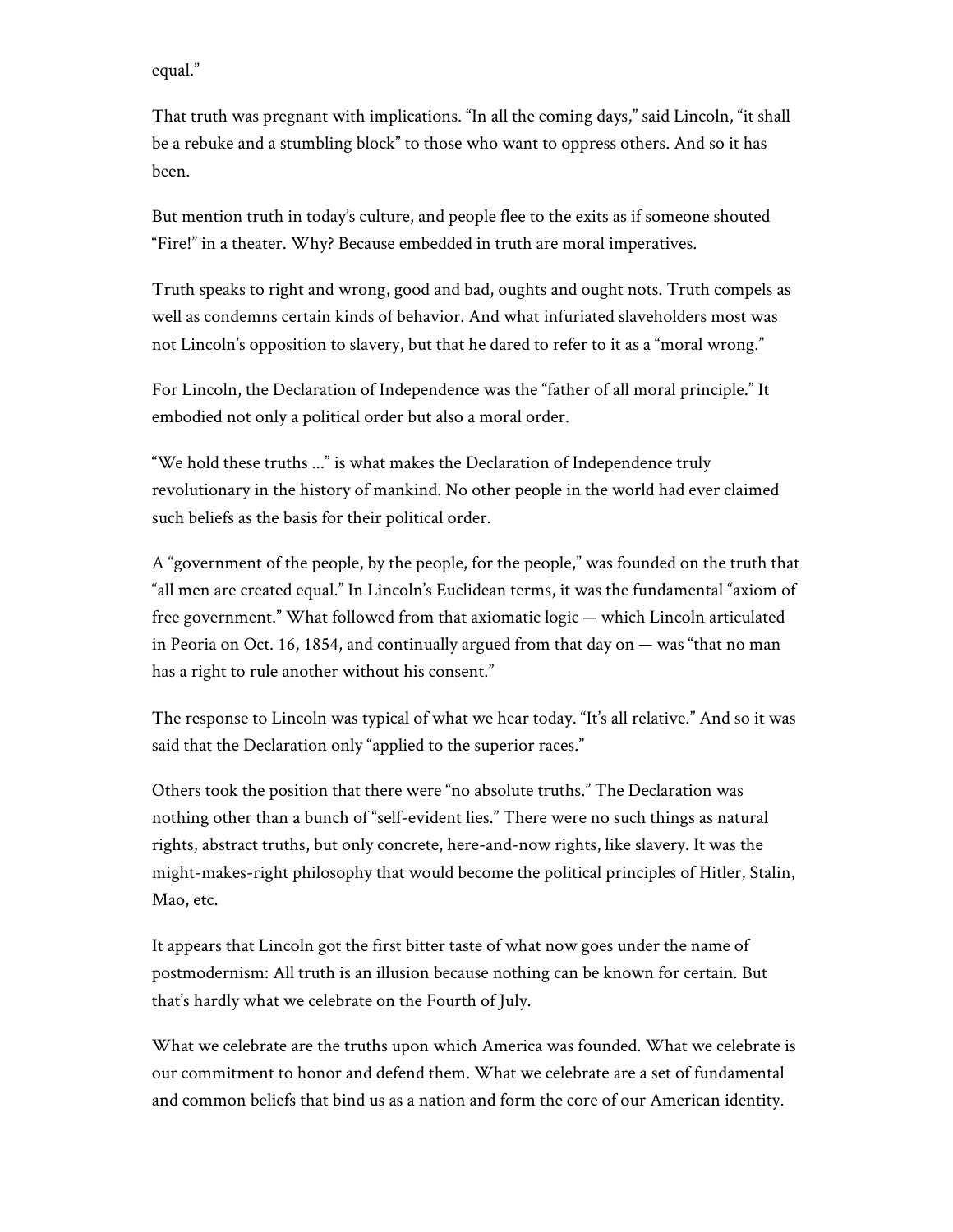equal."

That truth was pregnant with implications. "In all the coming days," said Lincoln, "it shall be a rebuke and a stumbling block" to those who want to oppress others. And so it has been.

But mention truth in today's culture, and people flee to the exits as if someone shouted "Fire!" in a theater. Why? Because embedded in truth are moral imperatives.

Truth speaks to right and wrong, good and bad, oughts and ought nots. Truth compels as well as condemns certain kinds of behavior. And what infuriated slaveholders most was not Lincoln's opposition to slavery, but that he dared to refer to it as a "moral wrong."

For Lincoln, the Declaration of Independence was the "father of all moral principle." It embodied not only a political order but also a moral order.

"We hold these truths ..." is what makes the Declaration of Independence truly revolutionary in the history of mankind. No other people in the world had ever claimed such beliefs as the basis for their political order.

A "government of the people, by the people, for the people," was founded on the truth that "all men are created equal." In Lincoln's Euclidean terms, it was the fundamental "axiom of free government." What followed from that axiomatic logic — which Lincoln articulated in Peoria on Oct. 16, 1854, and continually argued from that day on — was "that no man has a right to rule another without his consent."

The response to Lincoln was typical of what we hear today. "It's all relative." And so it was said that the Declaration only "applied to the superior races."

Others took the position that there were "no absolute truths." The Declaration was nothing other than a bunch of "self-evident lies." There were no such things as natural rights, abstract truths, but only concrete, here-and-now rights, like slavery. It was the might-makes-right philosophy that would become the political principles of Hitler, Stalin, Mao, etc.

It appears that Lincoln got the first bitter taste of what now goes under the name of postmodernism: All truth is an illusion because nothing can be known for certain. But that's hardly what we celebrate on the Fourth of July.

What we celebrate are the truths upon which America was founded. What we celebrate is our commitment to honor and defend them. What we celebrate are a set of fundamental and common beliefs that bind us as a nation and form the core of our American identity.